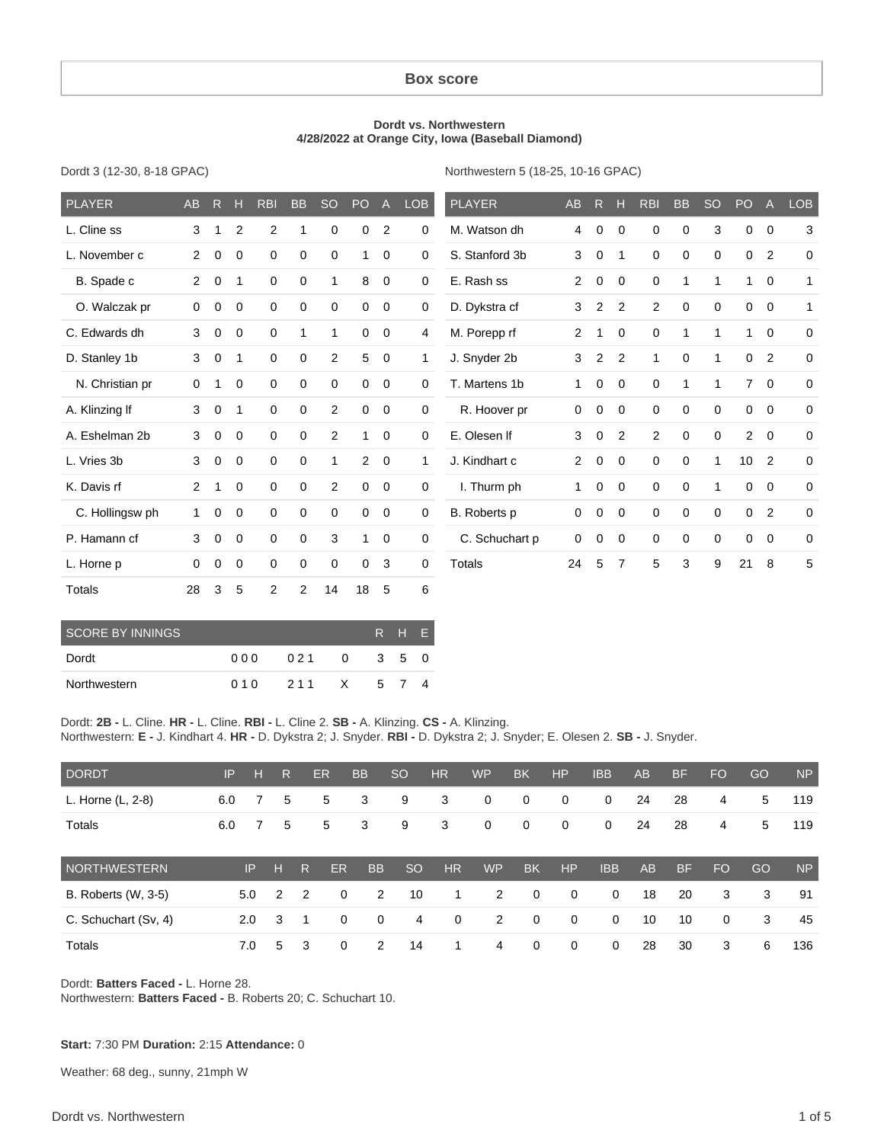#### **Box score**

#### **Dordt vs. Northwestern 4/28/2022 at Orange City, Iowa (Baseball Diamond)**

Dordt 3 (12-30, 8-18 GPAC)

Northwestern 5 (18-25, 10-16 GPAC)

| <b>PLAYER</b>   | AB             | R           | н              | <b>RBI</b>  | <b>BB</b>    | <b>SO</b>    | PO <sub>1</sub> | $\mathsf{A}$   | <b>LOB</b>   | <b>PLAYER</b>  | AB             | $\mathsf{R}$   | н              | <b>RBI</b>  | <b>BB</b>    | <b>SO</b>    | PO              | $\overline{A}$ | <b>LOB</b>   |
|-----------------|----------------|-------------|----------------|-------------|--------------|--------------|-----------------|----------------|--------------|----------------|----------------|----------------|----------------|-------------|--------------|--------------|-----------------|----------------|--------------|
| L. Cline ss     | 3              |             | $\overline{2}$ | 2           | 1            | $\mathbf 0$  | 0               | 2              | 0            | M. Watson dh   | 4              | 0              | $\Omega$       | $\Omega$    | $\mathbf 0$  | 3            | 0               | $\mathbf 0$    | 3            |
| L. November c   | $\overline{2}$ | $\mathbf 0$ | 0              | $\mathbf 0$ | 0            | 0            | 1               | $\mathbf 0$    | 0            | S. Stanford 3b | 3              | 0              | 1              | 0           | $\mathbf 0$  | 0            | 0               | 2              | 0            |
| B. Spade c      | $\overline{2}$ | $\mathbf 0$ | $\mathbf{1}$   | $\mathbf 0$ | 0            | 1            | 8               | $\mathbf 0$    | 0            | E. Rash ss     | 2              | $\mathbf 0$    | $\mathbf 0$    | $\mathbf 0$ | $\mathbf{1}$ | 1            | 1               | $\mathbf 0$    | 1            |
| O. Walczak pr   | 0              | $\mathbf 0$ | 0              | $\mathbf 0$ | 0            | $\mathbf 0$  | 0               | $\mathbf 0$    | $\mathbf 0$  | D. Dykstra cf  | 3              | 2              | 2              | 2           | $\mathbf 0$  | $\Omega$     | 0               | $\mathbf 0$    | $\mathbf{1}$ |
| C. Edwards dh   | 3              | $\mathbf 0$ | $\mathbf 0$    | $\mathbf 0$ | $\mathbf{1}$ | $\mathbf{1}$ | 0               | $\mathbf 0$    | 4            | M. Porepp rf   | $\overline{c}$ |                | 0              | $\mathbf 0$ | 1            | 1            | 1               | $\mathbf 0$    | 0            |
| D. Stanley 1b   | 3              | $\mathbf 0$ | $\overline{1}$ | $\mathbf 0$ | 0            | 2            | $\sqrt{5}$      | $\mathbf 0$    | $\mathbf{1}$ | J. Snyder 2b   | 3              | $\overline{2}$ | 2              | 1           | $\mathbf 0$  | 1            | $\mathbf 0$     | $\overline{2}$ | $\mathbf 0$  |
| N. Christian pr | 0              | 1           | $\Omega$       | $\mathbf 0$ | 0            | $\mathbf 0$  | $\mathbf 0$     | $\mathbf 0$    | 0            | T. Martens 1b  | $\mathbf{1}$   | 0              | $\Omega$       | $\mathbf 0$ | 1            | 1            | $\overline{7}$  | $\Omega$       | $\mathbf 0$  |
| A. Klinzing If  | 3              | $\mathbf 0$ | -1             | $\mathbf 0$ | $\mathbf 0$  | 2            | $\mathbf 0$     | $\mathbf 0$    | $\mathbf 0$  | R. Hoover pr   | 0              | 0              | $\Omega$       | $\Omega$    | $\mathbf 0$  | $\Omega$     | $\mathbf 0$     | $\mathbf 0$    | 0            |
| A. Eshelman 2b  | 3              | $\mathbf 0$ | $\mathbf 0$    | $\mathbf 0$ | 0            | 2            | $\mathbf{1}$    | $\mathbf 0$    | 0            | E. Olesen If   | 3              | 0              | 2              | 2           | $\mathbf 0$  | 0            | $\overline{2}$  | $\mathbf 0$    | 0            |
| L. Vries 3b     | 3              | $\mathbf 0$ | $\overline{0}$ | $\mathbf 0$ | $\mathbf 0$  | $\mathbf{1}$ | $\overline{2}$  | $\overline{0}$ | $\mathbf{1}$ | J. Kindhart c  | 2              | $\mathbf 0$    | $\mathbf 0$    | $\mathbf 0$ | $\mathbf 0$  | $\mathbf{1}$ | 10 <sup>1</sup> | $\overline{2}$ | 0            |
| K. Davis rf     | 2              | 1           | $\Omega$       | $\mathbf 0$ | 0            | 2            | $\mathbf 0$     | $\mathbf 0$    | $\mathbf 0$  | I. Thurm ph    | 1              | 0              | $\mathbf 0$    | $\mathbf 0$ | $\mathbf 0$  | 1            | $\mathbf 0$     | $\mathbf 0$    | 0            |
| C. Hollingsw ph | $\mathbf{1}$   | 0           | $\mathbf 0$    | $\mathbf 0$ | $\mathbf 0$  | $\mathbf 0$  | 0               | $\mathbf 0$    | 0            | B. Roberts p   | 0              | 0              | $\mathbf 0$    | $\mathbf 0$ | $\mathbf 0$  | 0            | 0               | 2              | 0            |
| P. Hamann cf    | 3              | $\mathbf 0$ | $\mathbf 0$    | $\mathbf 0$ | $\mathbf 0$  | 3            | $\mathbf{1}$    | $\mathbf 0$    | $\mathbf 0$  | C. Schuchart p | 0              | 0              | $\mathbf 0$    | 0           | $\mathbf 0$  | 0            | $\mathbf 0$     | $\mathbf 0$    | $\mathbf 0$  |
| L. Horne p      | 0              | $\mathbf 0$ | $\mathbf 0$    | $\mathbf 0$ | 0            | $\mathbf 0$  | $\mathbf 0$     | 3              | 0            | Totals         | 24             | 5              | $\overline{7}$ | 5           | 3            | 9            | 21              | 8              | 5            |
| <b>Totals</b>   | 28             | 3           | 5              | 2           | 2            | 14           | 18              | 5              | 6            |                |                |                |                |             |              |              |                 |                |              |

| ' SCORE BY INNINGS. |      | R H F |          |       |  |  |
|---------------------|------|-------|----------|-------|--|--|
| Dordt               | 00 Q | 021   | $\Omega$ | 3 5 0 |  |  |
| Northwestern        | 010  | 211 X |          | 5 7   |  |  |

Dordt: **2B -** L. Cline. **HR -** L. Cline. **RBI -** L. Cline 2. **SB -** A. Klinzing. **CS -** A. Klinzing. Northwestern: **E -** J. Kindhart 4. **HR -** D. Dykstra 2; J. Snyder. **RBI -** D. Dykstra 2; J. Snyder; E. Olesen 2. **SB -** J. Snyder.

| <b>DORDT</b>         | IP  | н   | R. |   | <b>ER</b> | <b>BB</b>   | <b>SO</b>     | <b>HR</b>   | <b>WP</b> | <b>BK</b>      | HP           | <b>IBB</b>  | AB | <b>BF</b> | <b>FO</b>      | GO | <b>NP</b> |
|----------------------|-----|-----|----|---|-----------|-------------|---------------|-------------|-----------|----------------|--------------|-------------|----|-----------|----------------|----|-----------|
| L. Horne (L, 2-8)    | 6.0 | 7   | 5  |   | 5         | 3           | 9             | 3           | 0         | 0              | 0            | 0           | 24 | 28        | 4              | 5  | 119       |
| <b>Totals</b>        | 6.0 |     | 5  |   | 5         | 3           | 9             | 3           | 0         | $\mathbf 0$    | $\mathbf 0$  | 0           | 24 | 28        | $\overline{4}$ | 5  | 119       |
| NORTHWESTERN         |     | IP  | н  | R | <b>ER</b> | <b>BB</b>   | <sub>SO</sub> | HR          | <b>WP</b> | <b>BK</b>      | HP           | <b>IBB</b>  | AB | <b>BF</b> | <b>FO</b>      | GO | <b>NP</b> |
| B. Roberts (W, 3-5)  |     | 5.0 | 2  | 2 | $\Omega$  | 2           | 10            | 1           | 2         | $\overline{0}$ | $\mathbf{0}$ | $\mathbf 0$ | 18 | 20        | 3              | 3  | 91        |
| C. Schuchart (Sv, 4) |     | 2.0 | 3  | 1 | 0         | $\mathbf 0$ | 4             | $\mathbf 0$ | 2         | $\overline{0}$ | $\mathbf{0}$ | $\mathbf 0$ | 10 | 10        | $\mathbf 0$    | 3  | 45        |
| <b>Totals</b>        |     | 7.0 | 5  | 3 | $\Omega$  | 2           | 14            | 1           | 4         | $\overline{0}$ | $\mathbf 0$  | $\mathbf 0$ | 28 | 30        | 3              | 6  | 136       |

Dordt: **Batters Faced -** L. Horne 28. Northwestern: **Batters Faced -** B. Roberts 20; C. Schuchart 10.

#### **Start:** 7:30 PM **Duration:** 2:15 **Attendance:** 0

Weather: 68 deg., sunny, 21mph W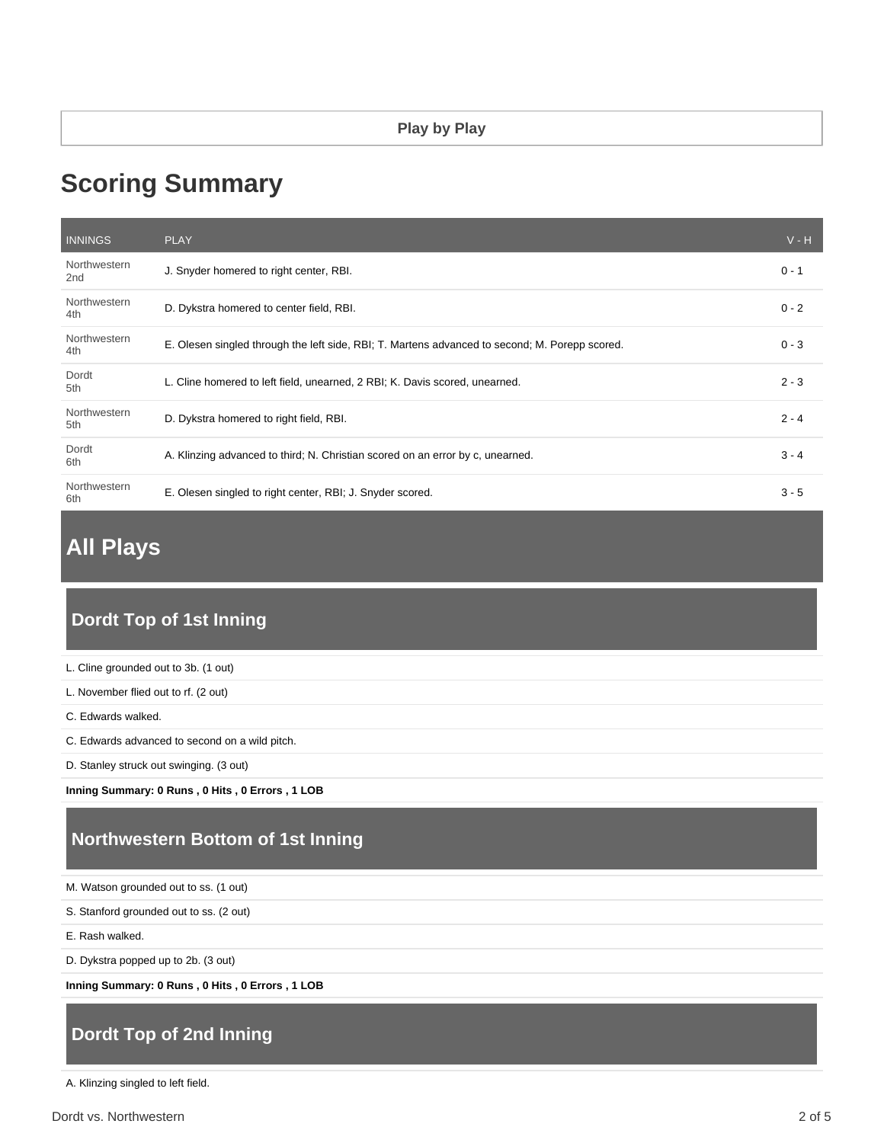# **Scoring Summary**

| <b>INNINGS</b>      | <b>PLAY</b>                                                                                    | $V - H$ |
|---------------------|------------------------------------------------------------------------------------------------|---------|
| Northwestern<br>2nd | J. Snyder homered to right center, RBI.                                                        | $0 - 1$ |
| Northwestern<br>4th | D. Dykstra homered to center field, RBI.                                                       | $0 - 2$ |
| Northwestern<br>4th | E. Olesen singled through the left side, RBI; T. Martens advanced to second; M. Porepp scored. | $0 - 3$ |
| Dordt<br>5th        | L. Cline homered to left field, unearned, 2 RBI; K. Davis scored, unearned.                    | $2 - 3$ |
| Northwestern<br>5th | D. Dykstra homered to right field, RBI.                                                        | $2 - 4$ |
| Dordt<br>6th        | A. Klinzing advanced to third; N. Christian scored on an error by c, unearned.                 | $3 - 4$ |
| Northwestern<br>6th | E. Olesen singled to right center, RBI; J. Snyder scored.                                      | $3 - 5$ |

# **All Plays**

# **Dordt Top of 1st Inning**

| L. Cline grounded out to 3b. (1 out)           |
|------------------------------------------------|
| L. November flied out to rf. (2 out)           |
| C. Edwards walked.                             |
| C. Edwards advanced to second on a wild pitch. |
| D. Stanley struck out swinging. (3 out)        |
|                                                |

**Inning Summary: 0 Runs , 0 Hits , 0 Errors , 1 LOB**

# **Northwestern Bottom of 1st Inning**

|  |  | M. Watson grounded out to ss. (1 out) |  |  |
|--|--|---------------------------------------|--|--|
|--|--|---------------------------------------|--|--|

S. Stanford grounded out to ss. (2 out)

E. Rash walked.

D. Dykstra popped up to 2b. (3 out)

**Inning Summary: 0 Runs , 0 Hits , 0 Errors , 1 LOB**

# **Dordt Top of 2nd Inning**

A. Klinzing singled to left field.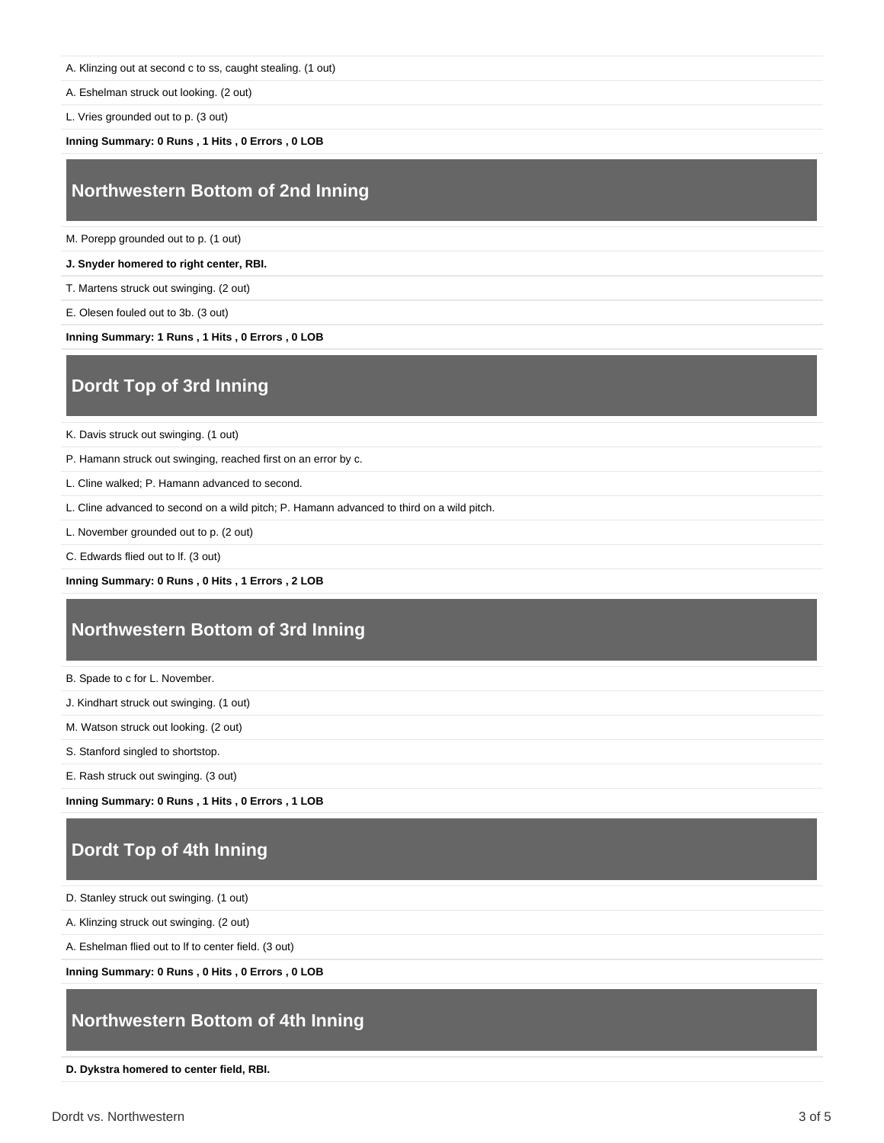A. Klinzing out at second c to ss, caught stealing. (1 out)

A. Eshelman struck out looking. (2 out)

L. Vries grounded out to p. (3 out)

**Inning Summary: 0 Runs , 1 Hits , 0 Errors , 0 LOB**

#### **Northwestern Bottom of 2nd Inning**

M. Porepp grounded out to p. (1 out)

**J. Snyder homered to right center, RBI.**

T. Martens struck out swinging. (2 out)

E. Olesen fouled out to 3b. (3 out)

**Inning Summary: 1 Runs , 1 Hits , 0 Errors , 0 LOB**

## **Dordt Top of 3rd Inning**

K. Davis struck out swinging. (1 out)

P. Hamann struck out swinging, reached first on an error by c.

L. Cline walked; P. Hamann advanced to second.

L. Cline advanced to second on a wild pitch; P. Hamann advanced to third on a wild pitch.

L. November grounded out to p. (2 out)

C. Edwards flied out to lf. (3 out)

**Inning Summary: 0 Runs , 0 Hits , 1 Errors , 2 LOB**

## **Northwestern Bottom of 3rd Inning**

B. Spade to c for L. November.

J. Kindhart struck out swinging. (1 out)

M. Watson struck out looking. (2 out)

S. Stanford singled to shortstop.

E. Rash struck out swinging. (3 out)

**Inning Summary: 0 Runs , 1 Hits , 0 Errors , 1 LOB**

## **Dordt Top of 4th Inning**

D. Stanley struck out swinging. (1 out)

A. Klinzing struck out swinging. (2 out)

A. Eshelman flied out to lf to center field. (3 out)

**Inning Summary: 0 Runs , 0 Hits , 0 Errors , 0 LOB**

#### **Northwestern Bottom of 4th Inning**

**D. Dykstra homered to center field, RBI.**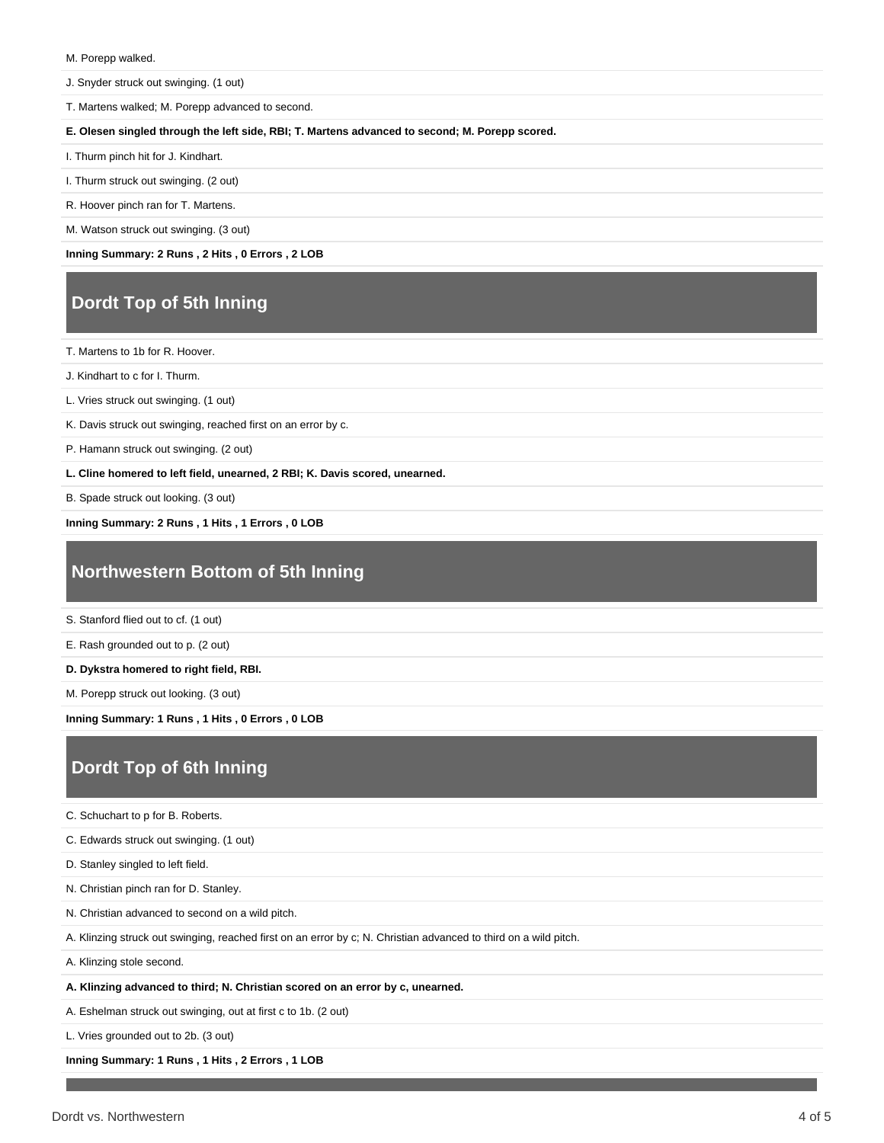#### M. Porepp walked.

J. Snyder struck out swinging. (1 out)

T. Martens walked; M. Porepp advanced to second.

**E. Olesen singled through the left side, RBI; T. Martens advanced to second; M. Porepp scored.**

I. Thurm pinch hit for J. Kindhart.

I. Thurm struck out swinging. (2 out)

R. Hoover pinch ran for T. Martens.

M. Watson struck out swinging. (3 out)

**Inning Summary: 2 Runs , 2 Hits , 0 Errors , 2 LOB**

# **Dordt Top of 5th Inning**

T. Martens to 1b for R. Hoover.

J. Kindhart to c for I. Thurm.

L. Vries struck out swinging. (1 out)

K. Davis struck out swinging, reached first on an error by c.

P. Hamann struck out swinging. (2 out)

**L. Cline homered to left field, unearned, 2 RBI; K. Davis scored, unearned.**

B. Spade struck out looking. (3 out)

**Inning Summary: 2 Runs , 1 Hits , 1 Errors , 0 LOB**

## **Northwestern Bottom of 5th Inning**

S. Stanford flied out to cf. (1 out)

E. Rash grounded out to p. (2 out)

**D. Dykstra homered to right field, RBI.**

M. Porepp struck out looking. (3 out)

**Inning Summary: 1 Runs , 1 Hits , 0 Errors , 0 LOB**

# **Dordt Top of 6th Inning**

C. Schuchart to p for B. Roberts.

C. Edwards struck out swinging. (1 out)

D. Stanley singled to left field.

N. Christian pinch ran for D. Stanley.

N. Christian advanced to second on a wild pitch.

A. Klinzing struck out swinging, reached first on an error by c; N. Christian advanced to third on a wild pitch.

A. Klinzing stole second.

**A. Klinzing advanced to third; N. Christian scored on an error by c, unearned.**

A. Eshelman struck out swinging, out at first c to 1b. (2 out)

L. Vries grounded out to 2b. (3 out)

**Inning Summary: 1 Runs , 1 Hits , 2 Errors , 1 LOB**